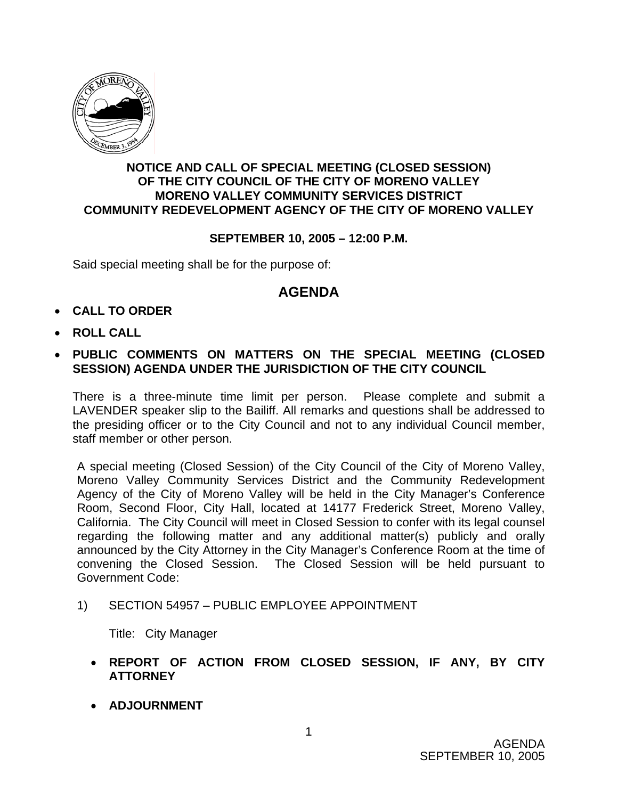

## **NOTICE AND CALL OF SPECIAL MEETING (CLOSED SESSION) OF THE CITY COUNCIL OF THE CITY OF MORENO VALLEY MORENO VALLEY COMMUNITY SERVICES DISTRICT COMMUNITY REDEVELOPMENT AGENCY OF THE CITY OF MORENO VALLEY**

## **SEPTEMBER 10, 2005 – 12:00 P.M.**

Said special meeting shall be for the purpose of:

## **AGENDA**

- **CALL TO ORDER**
- **ROLL CALL**
- **PUBLIC COMMENTS ON MATTERS ON THE SPECIAL MEETING (CLOSED SESSION) AGENDA UNDER THE JURISDICTION OF THE CITY COUNCIL**

There is a three-minute time limit per person. Please complete and submit a LAVENDER speaker slip to the Bailiff. All remarks and questions shall be addressed to the presiding officer or to the City Council and not to any individual Council member, staff member or other person.

A special meeting (Closed Session) of the City Council of the City of Moreno Valley, Moreno Valley Community Services District and the Community Redevelopment Agency of the City of Moreno Valley will be held in the City Manager's Conference Room, Second Floor, City Hall, located at 14177 Frederick Street, Moreno Valley, California. The City Council will meet in Closed Session to confer with its legal counsel regarding the following matter and any additional matter(s) publicly and orally announced by the City Attorney in the City Manager's Conference Room at the time of convening the Closed Session. The Closed Session will be held pursuant to Government Code:

1) SECTION 54957 – PUBLIC EMPLOYEE APPOINTMENT

Title: City Manager

- **REPORT OF ACTION FROM CLOSED SESSION, IF ANY, BY CITY ATTORNEY**
- **ADJOURNMENT**